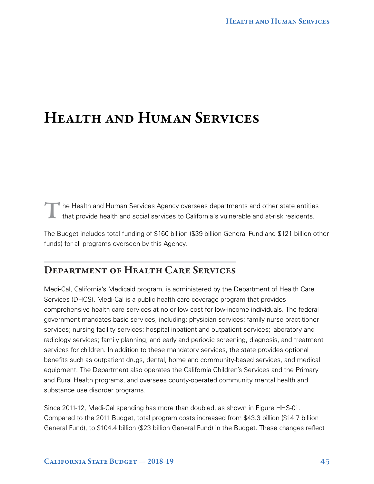T The Health and Human Services Agency oversees departments and other state entities that provide health and social services to California's vulnerable and at-risk residents.

The Budget includes total funding of \$160 billion (\$39 billion General Fund and \$121 billion other funds) for all programs overseen by this Agency.

# DEPARTMENT OF HEALTH CARE SERVICES

Medi-Cal, California's Medicaid program, is administered by the Department of Health Care Services (DHCS). Medi-Cal is a public health care coverage program that provides comprehensive health care services at no or low cost for low-income individuals. The federal government mandates basic services, including: physician services; family nurse practitioner services; nursing facility services; hospital inpatient and outpatient services; laboratory and radiology services; family planning; and early and periodic screening, diagnosis, and treatment services for children. In addition to these mandatory services, the state provides optional benefits such as outpatient drugs, dental, home and community-based services, and medical equipment. The Department also operates the California Children's Services and the Primary and Rural Health programs, and oversees county-operated community mental health and substance use disorder programs.

Since 2011-12, Medi-Cal spending has more than doubled, as shown in Figure HHS-01. Compared to the 2011 Budget, total program costs increased from \$43.3 billion (\$14.7 billion General Fund), to \$104.4 billion (\$23 billion General Fund) in the Budget. These changes reflect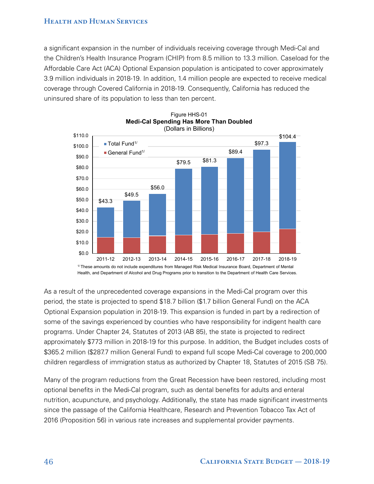a significant expansion in the number of individuals receiving coverage through Medi-Cal and the Children's Health Insurance Program (CHIP) from 8.5 million to 13.3 million. Caseload for the Affordable Care Act (ACA) Optional Expansion population is anticipated to cover approximately 3.9 million individuals in 2018-19. In addition, 1.4 million people are expected to receive medical coverage through Covered California in 2018-19. Consequently, California has reduced the uninsured share of its population to less than ten percent.





1/ These amounts do not include expenditures from Managed Risk Medical Insurance Board, Department of Mental Health, and Department of Alcohol and Drug Programs prior to transition to the Department of Health Care Services.

As a result of the unprecedented coverage expansions in the Medi-Cal program over this period, the state is projected to spend \$18.7 billion (\$1.7 billion General Fund) on the ACA Optional Expansion population in 2018-19. This expansion is funded in part by a redirection of some of the savings experienced by counties who have responsibility for indigent health care programs. Under Chapter 24, Statutes of 2013 (AB 85), the state is projected to redirect approximately \$773 million in 2018-19 for this purpose. In addition, the Budget includes costs of \$365.2 million (\$287.7 million General Fund) to expand full scope Medi-Cal coverage to 200,000 children regardless of immigration status as authorized by Chapter 18, Statutes of 2015 (SB 75).

Many of the program reductions from the Great Recession have been restored, including most optional benefits in the Medi-Cal program, such as dental benefits for adults and enteral nutrition, acupuncture, and psychology. Additionally, the state has made significant investments since the passage of the California Healthcare, Research and Prevention Tobacco Tax Act of 2016 (Proposition 56) in various rate increases and supplemental provider payments.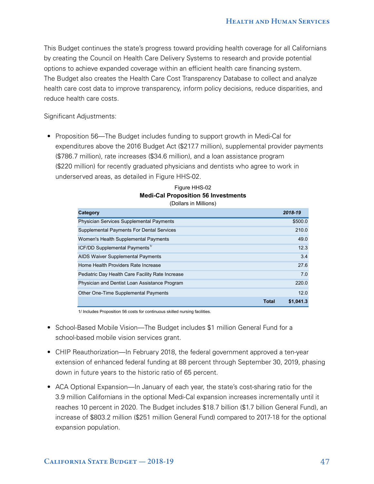This Budget continues the state's progress toward providing health coverage for all Californians by creating the Council on Health Care Delivery Systems to research and provide potential options to achieve expanded coverage within an efficient health care financing system. The Budget also creates the Health Care Cost Transparency Database to collect and analyze health care cost data to improve transparency, inform policy decisions, reduce disparities, and reduce health care costs.

Significant Adjustments:

• Proposition 56—The Budget includes funding to support growth in Medi-Cal for expenditures above the 2016 Budget Act (\$217.7 million), supplemental provider payments (\$786.7 million), rate increases (\$34.6 million), and a loan assistance program (\$220 million) for recently graduated physicians and dentists who agree to work in underserved areas, as detailed in Figure HHS-02.

#### Figure HHS-02 **Medi-Cal Proposition 56 Investments** (Dollars in Millions)

| Category                                         | 2018-19   |
|--------------------------------------------------|-----------|
| Physician Services Supplemental Payments         | \$500.0   |
| <b>Supplemental Payments For Dental Services</b> | 210.0     |
| Women's Health Supplemental Payments             | 49.0      |
| ICF/DD Supplemental Payments <sup>1/</sup>       | 12.3      |
| AIDS Waiver Supplemental Payments                | 3.4       |
| Home Health Providers Rate Increase              | 27.6      |
| Pediatric Day Health Care Facility Rate Increase | 7.0       |
| Physician and Dentist Loan Assistance Program    | 220.0     |
| Other One-Time Supplemental Payments             | 12.0      |
| Total                                            | \$1,041.3 |

1/ Includes Proposition 56 costs for continuous skilled nursing facilities.

- School-Based Mobile Vision—The Budget includes \$1 million General Fund for a school-based mobile vision services grant.
- CHIP Reauthorization—In February 2018, the federal government approved a ten-year extension of enhanced federal funding at 88 percent through September 30, 2019, phasing down in future years to the historic ratio of 65 percent.
- ACA Optional Expansion—In January of each year, the state's cost-sharing ratio for the 3.9 million Californians in the optional Medi-Cal expansion increases incrementally until it reaches 10 percent in 2020. The Budget includes \$18.7 billion (\$1.7 billion General Fund), an increase of \$803.2 million (\$251 million General Fund) compared to 2017-18 for the optional expansion population.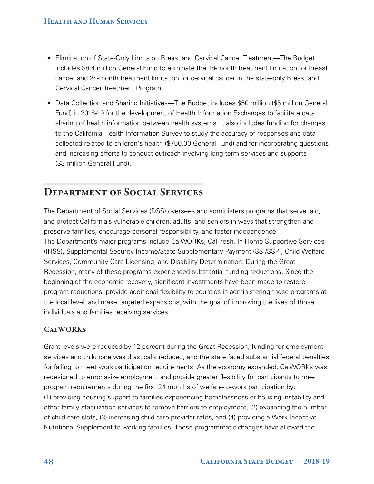- Elimination of State-Only Limits on Breast and Cervical Cancer Treatment—The Budget includes \$8.4 million General Fund to eliminate the 18-month treatment limitation for breast cancer and 24-month treatment limitation for cervical cancer in the state-only Breast and Cervical Cancer Treatment Program.
- Data Collection and Sharing Initiatives—The Budget includes \$50 million (\$5 million General Fund) in 2018-19 for the development of Health Information Exchanges to facilitate data sharing of health information between health systems. It also includes funding for changes to the California Health Information Survey to study the accuracy of responses and data collected related to children's health (\$750,00 General Fund) and for incorporating questions and increasing efforts to conduct outreach involving long-term services and supports (\$3 million General Fund).

# DEPARTMENT OF SOCIAL SERVICES

The Department of Social Services (DSS) oversees and administers programs that serve, aid, and protect California's vulnerable children, adults, and seniors in ways that strengthen and preserve families, encourage personal responsibility, and foster independence. The Department's major programs include CalWORKs, CalFresh, In-Home Supportive Services (IHSS), Supplemental Security Income/State Supplementary Payment (SSI/SSP), Child Welfare Services, Community Care Licensing, and Disability Determination. During the Great Recession, many of these programs experienced substantial funding reductions. Since the beginning of the economic recovery, significant investments have been made to restore program reductions, provide additional flexibility to counties in administering these programs at the local level, and make targeted expansions, with the goal of improving the lives of those individuals and families receiving services.

## **CALWORKS**

Grant levels were reduced by 12 percent during the Great Recession, funding for employment services and child care was drastically reduced, and the state faced substantial federal penalties for failing to meet work participation requirements. As the economy expanded, CalWORKs was redesigned to emphasize employment and provide greater flexibility for participants to meet program requirements during the first 24 months of welfare-to-work participation by: (1) providing housing support to families experiencing homelessness or housing instability and other family stabilization services to remove barriers to employment, (2) expanding the number of child care slots, (3) increasing child care provider rates, and (4) providing a Work Incentive Nutritional Supplement to working families. These programmatic changes have allowed the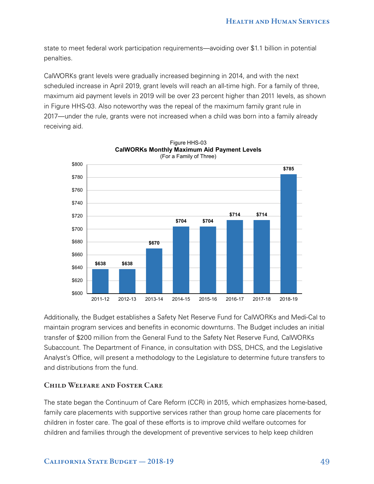state to meet federal work participation requirements—avoiding over \$1.1 billion in potential penalties.

CalWORKs grant levels were gradually increased beginning in 2014, and with the next scheduled increase in April 2019, grant levels will reach an all-time high. For a family of three, maximum aid payment levels in 2019 will be over 23 percent higher than 2011 levels, as shown in Figure HHS-03. Also noteworthy was the repeal of the maximum family grant rule in 2017—under the rule, grants were not increased when a child was born into a family already receiving aid.



Figure HHS-03

Additionally, the Budget establishes a Safety Net Reserve Fund for CalWORKs and Medi-Cal to maintain program services and benefits in economic downturns. The Budget includes an initial transfer of \$200 million from the General Fund to the Safety Net Reserve Fund, CalWORKs Subaccount. The Department of Finance, in consultation with DSS, DHCS, and the Legislative Analyst's Office, will present a methodology to the Legislature to determine future transfers to and distributions from the fund.

#### CHILD WELFARE AND FOSTER CARE

The state began the Continuum of Care Reform (CCR) in 2015, which emphasizes home-based, family care placements with supportive services rather than group home care placements for children in foster care. The goal of these efforts is to improve child welfare outcomes for children and families through the development of preventive services to help keep children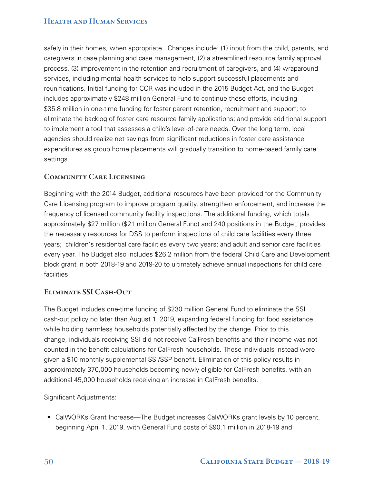safely in their homes, when appropriate. Changes include: (1) input from the child, parents, and caregivers in case planning and case management, (2) a streamlined resource family approval process, (3) improvement in the retention and recruitment of caregivers, and (4) wraparound services, including mental health services to help support successful placements and reunifications. Initial funding for CCR was included in the 2015 Budget Act, and the Budget includes approximately \$248 million General Fund to continue these efforts, including \$35.8 million in one-time funding for foster parent retention, recruitment and support; to eliminate the backlog of foster care resource family applications; and provide additional support to implement a tool that assesses a child's level-of-care needs. Over the long term, local agencies should realize net savings from significant reductions in foster care assistance expenditures as group home placements will gradually transition to home-based family care settings.

## COMMUNITY CARE LICENSING

Beginning with the 2014 Budget, additional resources have been provided for the Community Care Licensing program to improve program quality, strengthen enforcement, and increase the frequency of licensed community facility inspections. The additional funding, which totals approximately \$27 million (\$21 million General Fund) and 240 positions in the Budget, provides the necessary resources for DSS to perform inspections of child care facilities every three years; children's residential care facilities every two years; and adult and senior care facilities every year. The Budget also includes \$26.2 million from the federal Child Care and Development block grant in both 2018-19 and 2019-20 to ultimately achieve annual inspections for child care facilities.

## ELIMINATE SSI CASH-OUT

The Budget includes one-time funding of \$230 million General Fund to eliminate the SSI cash-out policy no later than August 1, 2019, expanding federal funding for food assistance while holding harmless households potentially affected by the change. Prior to this change, individuals receiving SSI did not receive CalFresh benefits and their income was not counted in the benefit calculations for CalFresh households. These individuals instead were given a \$10 monthly supplemental SSI/SSP benefit. Elimination of this policy results in approximately 370,000 households becoming newly eligible for CalFresh benefits, with an additional 45,000 households receiving an increase in CalFresh benefits.

Significant Adjustments:

• CalWORKs Grant Increase—The Budget increases CalWORKs grant levels by 10 percent, beginning April 1, 2019, with General Fund costs of \$90.1 million in 2018-19 and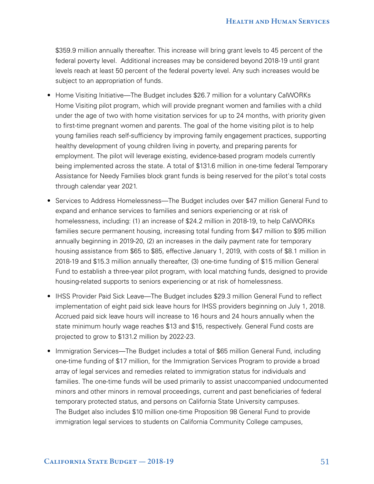\$359.9 million annually thereafter. This increase will bring grant levels to 45 percent of the federal poverty level. Additional increases may be considered beyond 2018-19 until grant levels reach at least 50 percent of the federal poverty level. Any such increases would be subject to an appropriation of funds.

- Home Visiting Initiative—The Budget includes \$26.7 million for a voluntary CalWORKs Home Visiting pilot program, which will provide pregnant women and families with a child under the age of two with home visitation services for up to 24 months, with priority given to first-time pregnant women and parents. The goal of the home visiting pilot is to help young families reach self-sufficiency by improving family engagement practices, supporting healthy development of young children living in poverty, and preparing parents for employment. The pilot will leverage existing, evidence-based program models currently being implemented across the state. A total of \$131.6 million in one-time federal Temporary Assistance for Needy Families block grant funds is being reserved for the pilot's total costs through calendar year 2021.
- Services to Address Homelessness—The Budget includes over \$47 million General Fund to expand and enhance services to families and seniors experiencing or at risk of homelessness, including: (1) an increase of \$24.2 million in 2018-19, to help CalWORKs families secure permanent housing, increasing total funding from \$47 million to \$95 million annually beginning in 2019-20, (2) an increases in the daily payment rate for temporary housing assistance from \$65 to \$85, effective January 1, 2019, with costs of \$8.1 million in 2018-19 and \$15.3 million annually thereafter, (3) one-time funding of \$15 million General Fund to establish a three-year pilot program, with local matching funds, designed to provide housing-related supports to seniors experiencing or at risk of homelessness.
- IHSS Provider Paid Sick Leave—The Budget includes \$29.3 million General Fund to reflect implementation of eight paid sick leave hours for IHSS providers beginning on July 1, 2018. Accrued paid sick leave hours will increase to 16 hours and 24 hours annually when the state minimum hourly wage reaches \$13 and \$15, respectively. General Fund costs are projected to grow to \$131.2 million by 2022-23.
- Immigration Services—The Budget includes a total of \$65 million General Fund, including one-time funding of \$17 million, for the Immigration Services Program to provide a broad array of legal services and remedies related to immigration status for individuals and families. The one-time funds will be used primarily to assist unaccompanied undocumented minors and other minors in removal proceedings, current and past beneficiaries of federal temporary protected status, and persons on California State University campuses. The Budget also includes \$10 million one-time Proposition 98 General Fund to provide immigration legal services to students on California Community College campuses,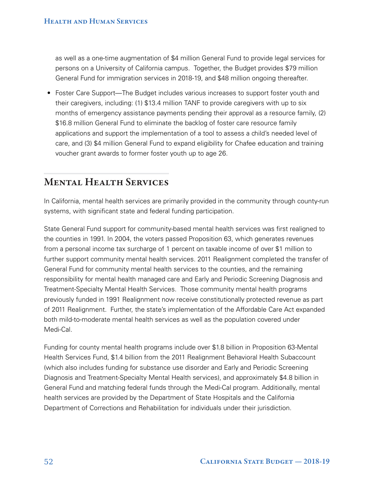as well as a one-time augmentation of \$4 million General Fund to provide legal services for persons on a University of California campus. Together, the Budget provides \$79 million General Fund for immigration services in 2018-19, and \$48 million ongoing thereafter.

• Foster Care Support—The Budget includes various increases to support foster youth and their caregivers, including: (1) \$13.4 million TANF to provide caregivers with up to six months of emergency assistance payments pending their approval as a resource family, (2) \$16.8 million General Fund to eliminate the backlog of foster care resource family applications and support the implementation of a tool to assess a child's needed level of care, and (3) \$4 million General Fund to expand eligibility for Chafee education and training voucher grant awards to former foster youth up to age 26.

# MENTAL HEALTH SERVICES

In California, mental health services are primarily provided in the community through county-run systems, with significant state and federal funding participation.

State General Fund support for community-based mental health services was first realigned to the counties in 1991. In 2004, the voters passed Proposition 63, which generates revenues from a personal income tax surcharge of 1 percent on taxable income of over \$1 million to further support community mental health services. 2011 Realignment completed the transfer of General Fund for community mental health services to the counties, and the remaining responsibility for mental health managed care and Early and Periodic Screening Diagnosis and Treatment-Specialty Mental Health Services. Those community mental health programs previously funded in 1991 Realignment now receive constitutionally protected revenue as part of 2011 Realignment. Further, the state's implementation of the Affordable Care Act expanded both mild-to-moderate mental health services as well as the population covered under Medi-Cal.

Funding for county mental health programs include over \$1.8 billion in Proposition 63-Mental Health Services Fund, \$1.4 billion from the 2011 Realignment Behavioral Health Subaccount (which also includes funding for substance use disorder and Early and Periodic Screening Diagnosis and Treatment-Specialty Mental Health services), and approximately \$4.8 billion in General Fund and matching federal funds through the Medi-Cal program. Additionally, mental health services are provided by the Department of State Hospitals and the California Department of Corrections and Rehabilitation for individuals under their jurisdiction.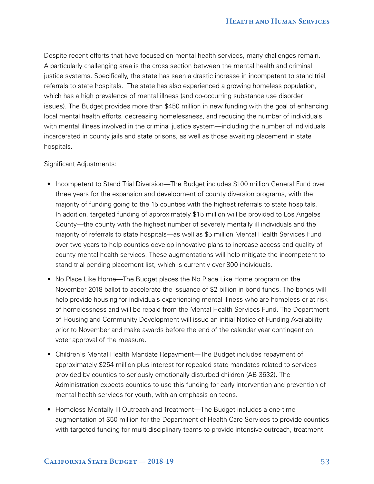Despite recent efforts that have focused on mental health services, many challenges remain. A particularly challenging area is the cross section between the mental health and criminal justice systems. Specifically, the state has seen a drastic increase in incompetent to stand trial referrals to state hospitals. The state has also experienced a growing homeless population, which has a high prevalence of mental illness (and co-occurring substance use disorder issues). The Budget provides more than \$450 million in new funding with the goal of enhancing local mental health efforts, decreasing homelessness, and reducing the number of individuals with mental illness involved in the criminal justice system—including the number of individuals incarcerated in county jails and state prisons, as well as those awaiting placement in state hospitals.

#### Significant Adjustments:

- Incompetent to Stand Trial Diversion—The Budget includes \$100 million General Fund over three years for the expansion and development of county diversion programs, with the majority of funding going to the 15 counties with the highest referrals to state hospitals. In addition, targeted funding of approximately \$15 million will be provided to Los Angeles County—the county with the highest number of severely mentally ill individuals and the majority of referrals to state hospitals—as well as \$5 million Mental Health Services Fund over two years to help counties develop innovative plans to increase access and quality of county mental health services. These augmentations will help mitigate the incompetent to stand trial pending placement list, which is currently over 800 individuals.
- No Place Like Home—The Budget places the No Place Like Home program on the November 2018 ballot to accelerate the issuance of \$2 billion in bond funds. The bonds will help provide housing for individuals experiencing mental illness who are homeless or at risk of homelessness and will be repaid from the Mental Health Services Fund. The Department of Housing and Community Development will issue an initial Notice of Funding Availability prior to November and make awards before the end of the calendar year contingent on voter approval of the measure.
- Children's Mental Health Mandate Repayment—The Budget includes repayment of approximately \$254 million plus interest for repealed state mandates related to services provided by counties to seriously emotionally disturbed children (AB 3632). The Administration expects counties to use this funding for early intervention and prevention of mental health services for youth, with an emphasis on teens.
- Homeless Mentally Ill Outreach and Treatment—The Budget includes a one-time augmentation of \$50 million for the Department of Health Care Services to provide counties with targeted funding for multi-disciplinary teams to provide intensive outreach, treatment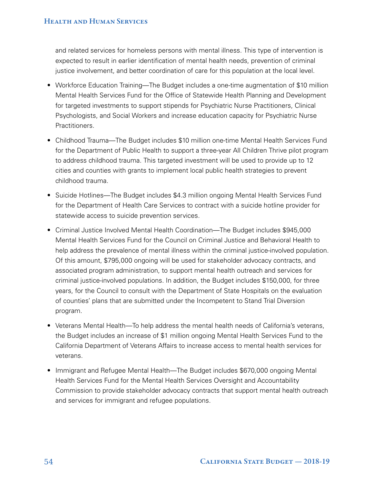and related services for homeless persons with mental illness. This type of intervention is expected to result in earlier identification of mental health needs, prevention of criminal justice involvement, and better coordination of care for this population at the local level.

- Workforce Education Training—The Budget includes a one-time augmentation of \$10 million Mental Health Services Fund for the Office of Statewide Health Planning and Development for targeted investments to support stipends for Psychiatric Nurse Practitioners, Clinical Psychologists, and Social Workers and increase education capacity for Psychiatric Nurse Practitioners.
- Childhood Trauma—The Budget includes \$10 million one-time Mental Health Services Fund for the Department of Public Health to support a three-year All Children Thrive pilot program to address childhood trauma. This targeted investment will be used to provide up to 12 cities and counties with grants to implement local public health strategies to prevent childhood trauma.
- Suicide Hotlines—The Budget includes \$4.3 million ongoing Mental Health Services Fund for the Department of Health Care Services to contract with a suicide hotline provider for statewide access to suicide prevention services.
- Criminal Justice Involved Mental Health Coordination—The Budget includes \$945,000 Mental Health Services Fund for the Council on Criminal Justice and Behavioral Health to help address the prevalence of mental illness within the criminal justice-involved population. Of this amount, \$795,000 ongoing will be used for stakeholder advocacy contracts, and associated program administration, to support mental health outreach and services for criminal justice-involved populations. In addition, the Budget includes \$150,000, for three years, for the Council to consult with the Department of State Hospitals on the evaluation of counties' plans that are submitted under the Incompetent to Stand Trial Diversion program.
- Veterans Mental Health—To help address the mental health needs of California's veterans, the Budget includes an increase of \$1 million ongoing Mental Health Services Fund to the California Department of Veterans Affairs to increase access to mental health services for veterans.
- Immigrant and Refugee Mental Health—The Budget includes \$670,000 ongoing Mental Health Services Fund for the Mental Health Services Oversight and Accountability Commission to provide stakeholder advocacy contracts that support mental health outreach and services for immigrant and refugee populations.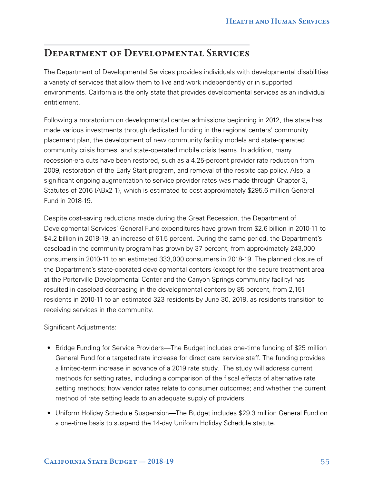# DEPARTMENT OF DEVELOPMENTAL SERVICES

The Department of Developmental Services provides individuals with developmental disabilities a variety of services that allow them to live and work independently or in supported environments. California is the only state that provides developmental services as an individual entitlement.

Following a moratorium on developmental center admissions beginning in 2012, the state has made various investments through dedicated funding in the regional centers' community placement plan, the development of new community facility models and state-operated community crisis homes, and state-operated mobile crisis teams. In addition, many recession-era cuts have been restored, such as a 4.25-percent provider rate reduction from 2009, restoration of the Early Start program, and removal of the respite cap policy. Also, a significant ongoing augmentation to service provider rates was made through Chapter 3, Statutes of 2016 (ABx2 1), which is estimated to cost approximately \$295.6 million General Fund in 2018-19.

Despite cost-saving reductions made during the Great Recession, the Department of Developmental Services' General Fund expenditures have grown from \$2.6 billion in 2010-11 to \$4.2 billion in 2018-19, an increase of 61.5 percent. During the same period, the Department's caseload in the community program has grown by 37 percent, from approximately 243,000 consumers in 2010‑11 to an estimated 333,000 consumers in 2018-19. The planned closure of the Department's state-operated developmental centers (except for the secure treatment area at the Porterville Developmental Center and the Canyon Springs community facility) has resulted in caseload decreasing in the developmental centers by 85 percent, from 2,151 residents in 2010-11 to an estimated 323 residents by June 30, 2019, as residents transition to receiving services in the community.

Significant Adjustments:

- Bridge Funding for Service Providers—The Budget includes one-time funding of \$25 million General Fund for a targeted rate increase for direct care service staff. The funding provides a limited-term increase in advance of a 2019 rate study. The study will address current methods for setting rates, including a comparison of the fiscal effects of alternative rate setting methods; how vendor rates relate to consumer outcomes; and whether the current method of rate setting leads to an adequate supply of providers.
- Uniform Holiday Schedule Suspension—The Budget includes \$29.3 million General Fund on a one-time basis to suspend the 14-day Uniform Holiday Schedule statute.